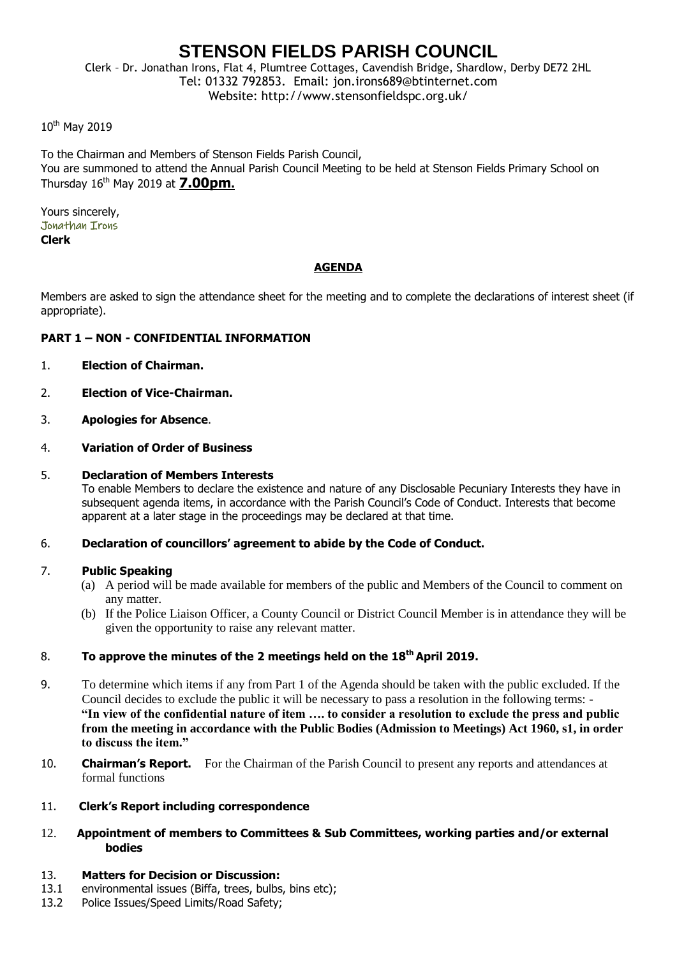# **STENSON FIELDS PARISH COUNCIL**

Clerk – Dr. Jonathan Irons, Flat 4, Plumtree Cottages, Cavendish Bridge, Shardlow, Derby DE72 2HL Tel: 01332 792853. Email: jon.irons689@btinternet.com Website: http://www.stensonfieldspc.org.uk/

10<sup>th</sup> May 2019

To the Chairman and Members of Stenson Fields Parish Council, You are summoned to attend the Annual Parish Council Meeting to be held at Stenson Fields Primary School on Thursday 16th May 2019 at **7.00pm.**

Yours sincerely, Jonathan Irons **Clerk**

## **AGENDA**

Members are asked to sign the attendance sheet for the meeting and to complete the declarations of interest sheet (if appropriate).

## **PART 1 – NON - CONFIDENTIAL INFORMATION**

- 1. **Election of Chairman.**
- 2. **Election of Vice-Chairman.**
- 3. **Apologies for Absence**.
- 4. **Variation of Order of Business**

#### 5. **Declaration of Members Interests**

To enable Members to declare the existence and nature of any Disclosable Pecuniary Interests they have in subsequent agenda items, in accordance with the Parish Council's Code of Conduct. Interests that become apparent at a later stage in the proceedings may be declared at that time.

#### 6. **Declaration of councillors' agreement to abide by the Code of Conduct.**

#### 7. **Public Speaking**

- (a) A period will be made available for members of the public and Members of the Council to comment on any matter.
- (b) If the Police Liaison Officer, a County Council or District Council Member is in attendance they will be given the opportunity to raise any relevant matter.

## 8. **To approve the minutes of the 2 meetings held on the 18th April 2019.**

- 9. To determine which items if any from Part 1 of the Agenda should be taken with the public excluded. If the Council decides to exclude the public it will be necessary to pass a resolution in the following terms: - **"In view of the confidential nature of item …. to consider a resolution to exclude the press and public from the meeting in accordance with the Public Bodies (Admission to Meetings) Act 1960, s1, in order to discuss the item."**
- 10. **Chairman's Report.** For the Chairman of the Parish Council to present any reports and attendances at formal functions

#### 11. **Clerk's Report including correspondence**

12. **Appointment of members to Committees & Sub Committees, working parties and/or external bodies**

#### 13. **Matters for Decision or Discussion:**

- 13.1 environmental issues (Biffa, trees, bulbs, bins etc);
- 13.2 Police Issues/Speed Limits/Road Safety;